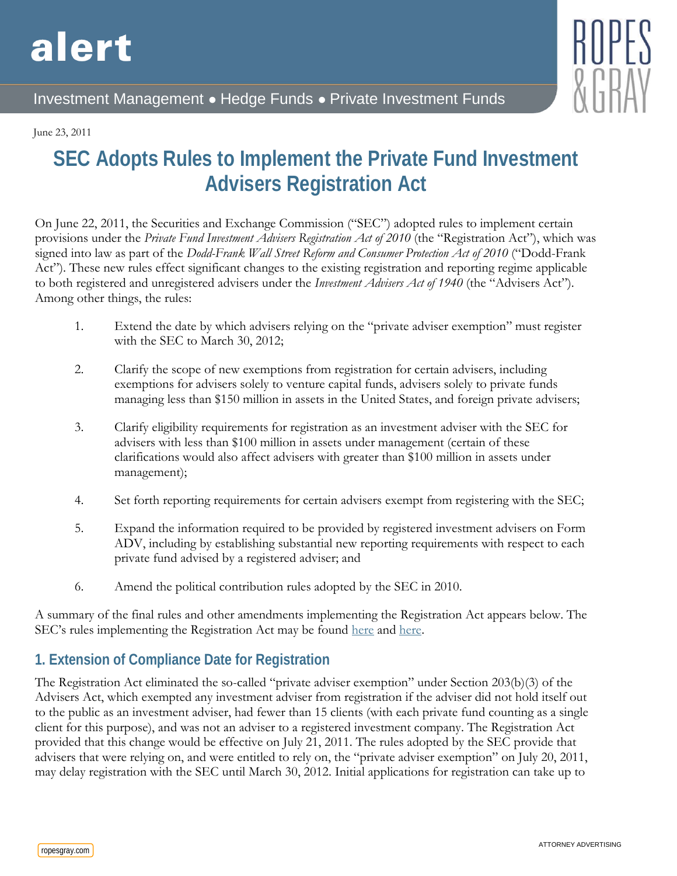# alert



# Investment Management ● Hedge Funds ● Private Investment Funds

#### June 23, 2011

# **SEC Adopts Rules to Implement the Private Fund Investment Advisers Registration Act**

On June 22, 2011, the Securities and Exchange Commission ("SEC") adopted rules to implement certain provisions under the *Private Fund Investment Advisers Registration Act of 2010* (the "Registration Act"), which was signed into law as part of the *Dodd-Frank Wall Street Reform and Consumer Protection Act of 2010* ("Dodd-Frank Act"). These new rules effect significant changes to the existing registration and reporting regime applicable to both registered and unregistered advisers under the *Investment Advisers Act of 1940* (the "Advisers Act"). Among other things, the rules:

- 1. Extend the date by which advisers relying on the "private adviser exemption" must register with the SEC to March 30, 2012;
- 2. Clarify the scope of new exemptions from registration for certain advisers, including exemptions for advisers solely to venture capital funds, advisers solely to private funds managing less than \$150 million in assets in the United States, and foreign private advisers;
- 3. Clarify eligibility requirements for registration as an investment adviser with the SEC for advisers with less than \$100 million in assets under management (certain of these clarifications would also affect advisers with greater than \$100 million in assets under management);
- 4. Set forth reporting requirements for certain advisers exempt from registering with the SEC;
- 5. Expand the information required to be provided by registered investment advisers on Form ADV, including by establishing substantial new reporting requirements with respect to each private fund advised by a registered adviser; and
- 6. Amend the political contribution rules adopted by the SEC in 2010.

A summary of the final rules and other amendments implementing the Registration Act appears below. The SEC's rules implementing the Registration Act may be found [here](http://sec.gov/rules/final/2011/ia-3222.pdf) and [here.](http://sec.gov/rules/final/2011/ia-3221.pdf)

# **1. Extension of Compliance Date for Registration**

The Registration Act eliminated the so-called "private adviser exemption" under Section 203(b)(3) of the Advisers Act, which exempted any investment adviser from registration if the adviser did not hold itself out to the public as an investment adviser, had fewer than 15 clients (with each private fund counting as a single client for this purpose), and was not an adviser to a registered investment company. The Registration Act provided that this change would be effective on July 21, 2011. The rules adopted by the SEC provide that advisers that were relying on, and were entitled to rely on, the "private adviser exemption" on July 20, 2011, may delay registration with the SEC until March 30, 2012. Initial applications for registration can take up to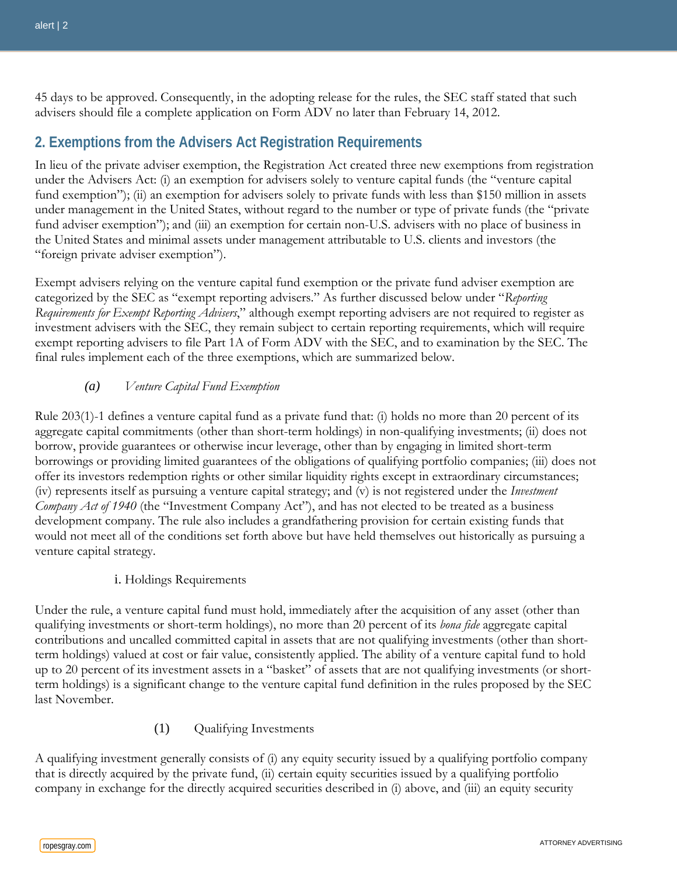45 days to be approved. Consequently, in the adopting release for the rules, the SEC staff stated that such advisers should file a complete application on Form ADV no later than February 14, 2012.

# **2. Exemptions from the Advisers Act Registration Requirements**

In lieu of the private adviser exemption, the Registration Act created three new exemptions from registration under the Advisers Act: (i) an exemption for advisers solely to venture capital funds (the "venture capital fund exemption"); (ii) an exemption for advisers solely to private funds with less than \$150 million in assets under management in the United States, without regard to the number or type of private funds (the "private fund adviser exemption"); and (iii) an exemption for certain non-U.S. advisers with no place of business in the United States and minimal assets under management attributable to U.S. clients and investors (the "foreign private adviser exemption").

Exempt advisers relying on the venture capital fund exemption or the private fund adviser exemption are categorized by the SEC as "exempt reporting advisers." As further discussed below under "*Reporting Requirements for Exempt Reporting Advisers*," although exempt reporting advisers are not required to register as investment advisers with the SEC, they remain subject to certain reporting requirements, which will require exempt reporting advisers to file Part 1A of Form ADV with the SEC, and to examination by the SEC. The final rules implement each of the three exemptions, which are summarized below.

#### *(a) Venture Capital Fund Exemption*

Rule 203(1)-1 defines a venture capital fund as a private fund that: (i) holds no more than 20 percent of its aggregate capital commitments (other than short-term holdings) in non-qualifying investments; (ii) does not borrow, provide guarantees or otherwise incur leverage, other than by engaging in limited short-term borrowings or providing limited guarantees of the obligations of qualifying portfolio companies; (iii) does not offer its investors redemption rights or other similar liquidity rights except in extraordinary circumstances; (iv) represents itself as pursuing a venture capital strategy; and (v) is not registered under the *Investment Company Act of 1940* (the "Investment Company Act"), and has not elected to be treated as a business development company. The rule also includes a grandfathering provision for certain existing funds that would not meet all of the conditions set forth above but have held themselves out historically as pursuing a venture capital strategy.

#### i. Holdings Requirements

Under the rule, a venture capital fund must hold, immediately after the acquisition of any asset (other than qualifying investments or short-term holdings), no more than 20 percent of its *bona fide* aggregate capital contributions and uncalled committed capital in assets that are not qualifying investments (other than shortterm holdings) valued at cost or fair value, consistently applied. The ability of a venture capital fund to hold up to 20 percent of its investment assets in a "basket" of assets that are not qualifying investments (or shortterm holdings) is a significant change to the venture capital fund definition in the rules proposed by the SEC last November.

#### (1) Qualifying Investments

A qualifying investment generally consists of (i) any equity security issued by a qualifying portfolio company that is directly acquired by the private fund, (ii) certain equity securities issued by a qualifying portfolio company in exchange for the directly acquired securities described in (i) above, and (iii) an equity security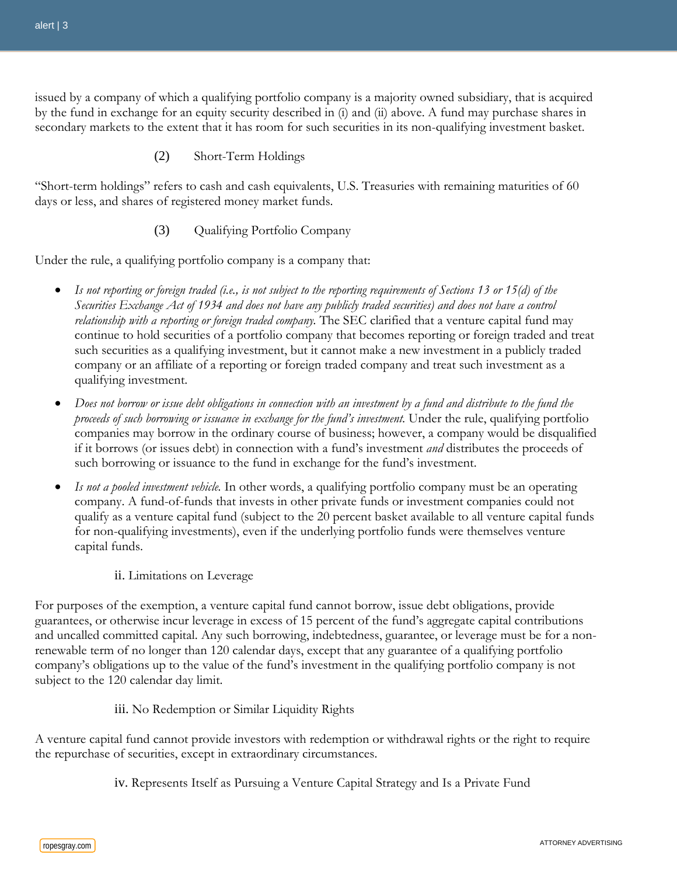issued by a company of which a qualifying portfolio company is a majority owned subsidiary, that is acquired by the fund in exchange for an equity security described in (i) and (ii) above. A fund may purchase shares in secondary markets to the extent that it has room for such securities in its non-qualifying investment basket.

(2) Short-Term Holdings

"Short-term holdings" refers to cash and cash equivalents, U.S. Treasuries with remaining maturities of 60 days or less, and shares of registered money market funds.

(3) Qualifying Portfolio Company

Under the rule, a qualifying portfolio company is a company that:

- *Is not reporting or foreign traded (i.e., is not subject to the reporting requirements of Sections 13 or 15(d) of the Securities Exchange Act of 1934 and does not have any publicly traded securities) and does not have a control relationship with a reporting or foreign traded company.* The SEC clarified that a venture capital fund may continue to hold securities of a portfolio company that becomes reporting or foreign traded and treat such securities as a qualifying investment, but it cannot make a new investment in a publicly traded company or an affiliate of a reporting or foreign traded company and treat such investment as a qualifying investment.
- *Does not borrow or issue debt obligations in connection with an investment by a fund and distribute to the fund the proceeds of such borrowing or issuance in exchange for the fund's investment.* Under the rule, qualifying portfolio companies may borrow in the ordinary course of business; however, a company would be disqualified if it borrows (or issues debt) in connection with a fund's investment *and* distributes the proceeds of such borrowing or issuance to the fund in exchange for the fund's investment.
- *Is not a pooled investment vehicle.* In other words, a qualifying portfolio company must be an operating company. A fund-of-funds that invests in other private funds or investment companies could not qualify as a venture capital fund (subject to the 20 percent basket available to all venture capital funds for non-qualifying investments), even if the underlying portfolio funds were themselves venture capital funds.
	- ii. Limitations on Leverage

For purposes of the exemption, a venture capital fund cannot borrow, issue debt obligations, provide guarantees, or otherwise incur leverage in excess of 15 percent of the fund's aggregate capital contributions and uncalled committed capital. Any such borrowing, indebtedness, guarantee, or leverage must be for a nonrenewable term of no longer than 120 calendar days, except that any guarantee of a qualifying portfolio company's obligations up to the value of the fund's investment in the qualifying portfolio company is not subject to the 120 calendar day limit.

#### iii. No Redemption or Similar Liquidity Rights

A venture capital fund cannot provide investors with redemption or withdrawal rights or the right to require the repurchase of securities, except in extraordinary circumstances.

iv. Represents Itself as Pursuing a Venture Capital Strategy and Is a Private Fund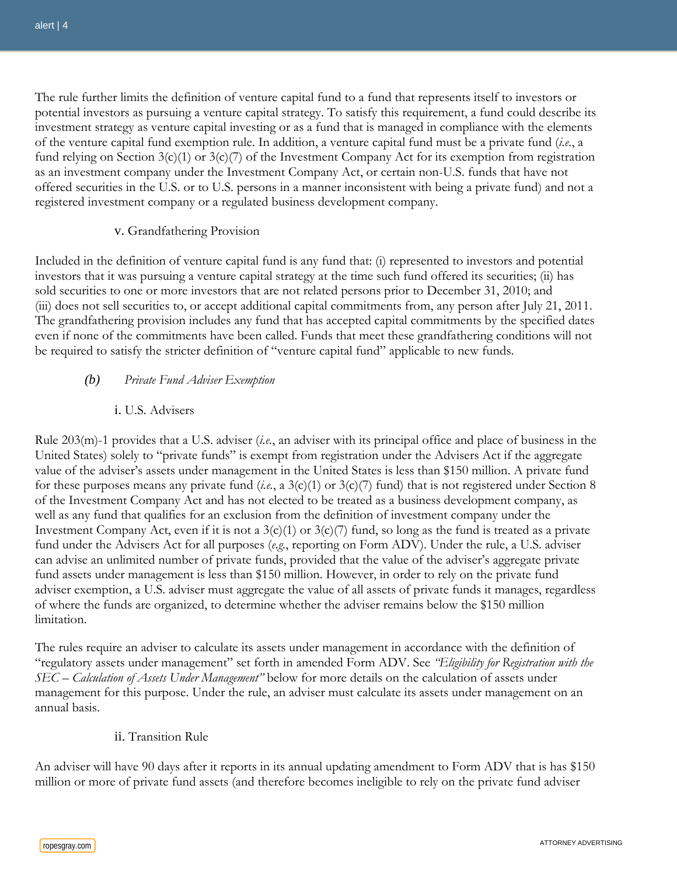The rule further limits the definition of venture capital fund to a fund that represents itself to investors or potential investors as pursuing a venture capital strategy. To satisfy this requirement, a fund could describe its investment strategy as venture capital investing or as a fund that is managed in compliance with the elements of the venture capital fund exemption rule. In addition, a venture capital fund must be a private fund (*i.e.*, a fund relying on Section 3(c)(1) or 3(c)(7) of the Investment Company Act for its exemption from registration as an investment company under the Investment Company Act, or certain non-U.S. funds that have not offered securities in the U.S. or to U.S. persons in a manner inconsistent with being a private fund) and not a registered investment company or a regulated business development company.

#### v. Grandfathering Provision

Included in the definition of venture capital fund is any fund that: (i) represented to investors and potential investors that it was pursuing a venture capital strategy at the time such fund offered its securities; (ii) has sold securities to one or more investors that are not related persons prior to December 31, 2010; and (iii) does not sell securities to, or accept additional capital commitments from, any person after July 21, 2011. The grandfathering provision includes any fund that has accepted capital commitments by the specified dates even if none of the commitments have been called. Funds that meet these grandfathering conditions will not be required to satisfy the stricter definition of "venture capital fund" applicable to new funds.

#### *(b) Private Fund Adviser Exemption*

#### i. U.S. Advisers

Rule 203(m)-1 provides that a U.S. adviser (*i.e.*, an adviser with its principal office and place of business in the United States) solely to "private funds" is exempt from registration under the Advisers Act if the aggregate value of the adviser's assets under management in the United States is less than \$150 million. A private fund for these purposes means any private fund (*i.e.*, a 3(c)(1) or 3(c)(7) fund) that is not registered under Section 8 of the Investment Company Act and has not elected to be treated as a business development company, as well as any fund that qualifies for an exclusion from the definition of investment company under the Investment Company Act, even if it is not a  $3(c)(1)$  or  $3(c)(7)$  fund, so long as the fund is treated as a private fund under the Advisers Act for all purposes (*e.g.*, reporting on Form ADV). Under the rule, a U.S. adviser can advise an unlimited number of private funds, provided that the value of the adviser's aggregate private fund assets under management is less than \$150 million. However, in order to rely on the private fund adviser exemption, a U.S. adviser must aggregate the value of all assets of private funds it manages, regardless of where the funds are organized, to determine whether the adviser remains below the \$150 million limitation.

The rules require an adviser to calculate its assets under management in accordance with the definition of "regulatory assets under management" set forth in amended Form ADV. See *"Eligibility for Registration with the SEC – Calculation of Assets Under Management"* below for more details on the calculation of assets under management for this purpose. Under the rule, an adviser must calculate its assets under management on an annual basis.

#### ii. Transition Rule

An adviser will have 90 days after it reports in its annual updating amendment to Form ADV that is has \$150 million or more of private fund assets (and therefore becomes ineligible to rely on the private fund adviser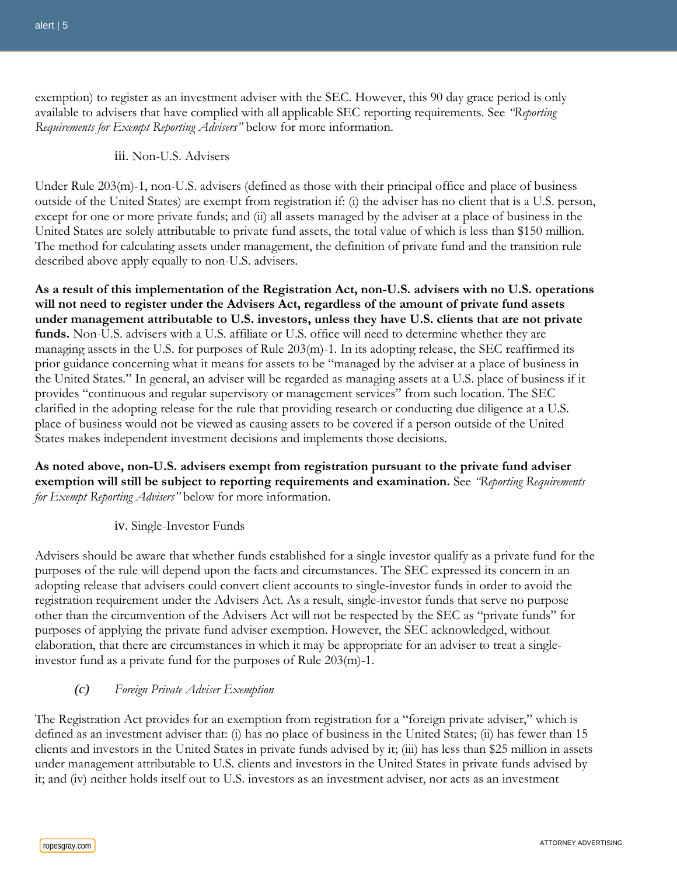exemption) to register as an investment adviser with the SEC. However, this 90 day grace period is only available to advisers that have complied with all applicable SEC reporting requirements. See *"Reporting Requirements for Exempt Reporting Advisers"* below for more information.

#### iii. Non-U.S. Advisers

Under Rule 203(m)-1, non-U.S. advisers (defined as those with their principal office and place of business outside of the United States) are exempt from registration if: (i) the adviser has no client that is a U.S. person, except for one or more private funds; and (ii) all assets managed by the adviser at a place of business in the United States are solely attributable to private fund assets, the total value of which is less than \$150 million. The method for calculating assets under management, the definition of private fund and the transition rule described above apply equally to non-U.S. advisers.

**As a result of this implementation of the Registration Act, non-U.S. advisers with no U.S. operations will not need to register under the Advisers Act, regardless of the amount of private fund assets under management attributable to U.S. investors, unless they have U.S. clients that are not private funds.** Non-U.S. advisers with a U.S. affiliate or U.S. office will need to determine whether they are managing assets in the U.S. for purposes of Rule 203(m)-1. In its adopting release, the SEC reaffirmed its prior guidance concerning what it means for assets to be "managed by the adviser at a place of business in the United States." In general, an adviser will be regarded as managing assets at a U.S. place of business if it provides "continuous and regular supervisory or management services" from such location. The SEC clarified in the adopting release for the rule that providing research or conducting due diligence at a U.S. place of business would not be viewed as causing assets to be covered if a person outside of the United States makes independent investment decisions and implements those decisions.

**As noted above, non-U.S. advisers exempt from registration pursuant to the private fund adviser exemption will still be subject to reporting requirements and examination.** See *"Reporting Requirements for Exempt Reporting Advisers"* below for more information.

iv. Single-Investor Funds

Advisers should be aware that whether funds established for a single investor qualify as a private fund for the purposes of the rule will depend upon the facts and circumstances. The SEC expressed its concern in an adopting release that advisers could convert client accounts to single-investor funds in order to avoid the registration requirement under the Advisers Act. As a result, single-investor funds that serve no purpose other than the circumvention of the Advisers Act will not be respected by the SEC as "private funds" for purposes of applying the private fund adviser exemption. However, the SEC acknowledged, without elaboration, that there are circumstances in which it may be appropriate for an adviser to treat a singleinvestor fund as a private fund for the purposes of Rule 203(m)-1.

#### *(c) Foreign Private Adviser Exemption*

The Registration Act provides for an exemption from registration for a "foreign private adviser," which is defined as an investment adviser that: (i) has no place of business in the United States; (ii) has fewer than 15 clients and investors in the United States in private funds advised by it; (iii) has less than \$25 million in assets under management attributable to U.S. clients and investors in the United States in private funds advised by it; and (iv) neither holds itself out to U.S. investors as an investment adviser, nor acts as an investment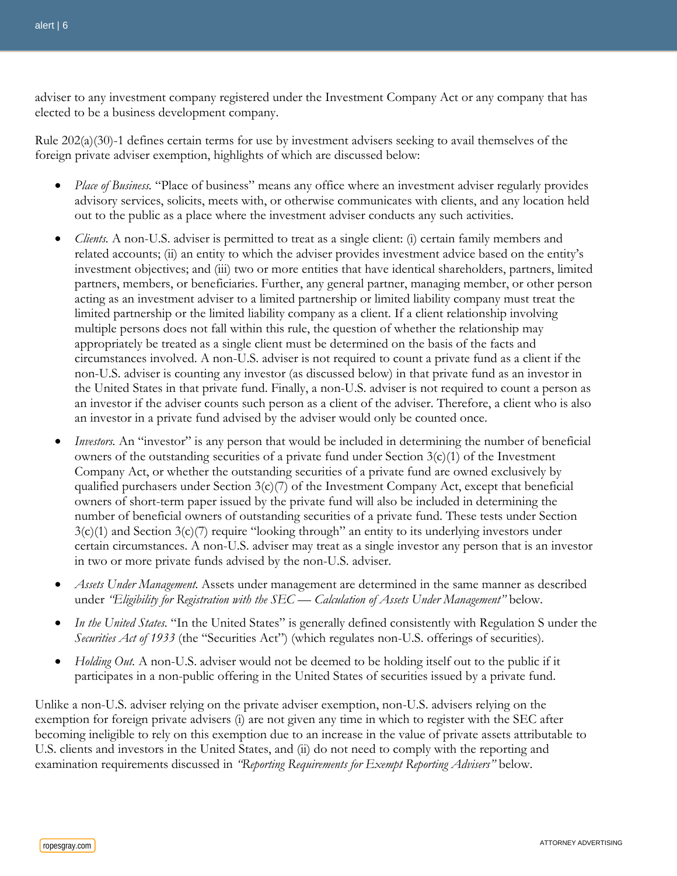adviser to any investment company registered under the Investment Company Act or any company that has elected to be a business development company.

Rule 202(a)(30)-1 defines certain terms for use by investment advisers seeking to avail themselves of the foreign private adviser exemption, highlights of which are discussed below:

- *Place of Business.* "Place of business" means any office where an investment adviser regularly provides advisory services, solicits, meets with, or otherwise communicates with clients, and any location held out to the public as a place where the investment adviser conducts any such activities.
- *Clients.* A non-U.S. adviser is permitted to treat as a single client: (i) certain family members and related accounts; (ii) an entity to which the adviser provides investment advice based on the entity's investment objectives; and (iii) two or more entities that have identical shareholders, partners, limited partners, members, or beneficiaries. Further, any general partner, managing member, or other person acting as an investment adviser to a limited partnership or limited liability company must treat the limited partnership or the limited liability company as a client. If a client relationship involving multiple persons does not fall within this rule, the question of whether the relationship may appropriately be treated as a single client must be determined on the basis of the facts and circumstances involved. A non-U.S. adviser is not required to count a private fund as a client if the non-U.S. adviser is counting any investor (as discussed below) in that private fund as an investor in the United States in that private fund. Finally, a non-U.S. adviser is not required to count a person as an investor if the adviser counts such person as a client of the adviser. Therefore, a client who is also an investor in a private fund advised by the adviser would only be counted once.
- *Investors.* An "investor" is any person that would be included in determining the number of beneficial owners of the outstanding securities of a private fund under Section  $3(c)(1)$  of the Investment Company Act, or whether the outstanding securities of a private fund are owned exclusively by qualified purchasers under Section  $3(c)/7$  of the Investment Company Act, except that beneficial owners of short-term paper issued by the private fund will also be included in determining the number of beneficial owners of outstanding securities of a private fund. These tests under Section  $3(c)(1)$  and Section  $3(c)(7)$  require "looking through" an entity to its underlying investors under certain circumstances. A non-U.S. adviser may treat as a single investor any person that is an investor in two or more private funds advised by the non-U.S. adviser.
- *Assets Under Management.* Assets under management are determined in the same manner as described under *"Eligibility for Registration with the SEC — Calculation of Assets Under Management"* below.
- In the United States. "In the United States" is generally defined consistently with Regulation S under the *Securities Act of 1933* (the "Securities Act") (which regulates non-U.S. offerings of securities).
- *Holding Out.* A non-U.S. adviser would not be deemed to be holding itself out to the public if it participates in a non-public offering in the United States of securities issued by a private fund.

Unlike a non-U.S. adviser relying on the private adviser exemption, non-U.S. advisers relying on the exemption for foreign private advisers (i) are not given any time in which to register with the SEC after becoming ineligible to rely on this exemption due to an increase in the value of private assets attributable to U.S. clients and investors in the United States, and (ii) do not need to comply with the reporting and examination requirements discussed in *"Reporting Requirements for Exempt Reporting Advisers"* below.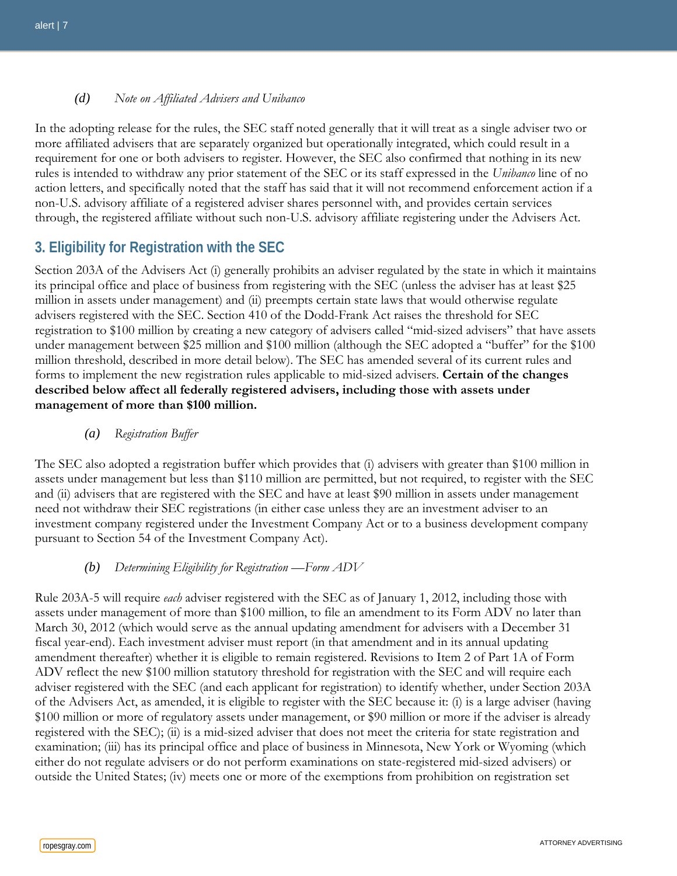*(d) Note on Affiliated Advisers and Unibanco*

In the adopting release for the rules, the SEC staff noted generally that it will treat as a single adviser two or more affiliated advisers that are separately organized but operationally integrated, which could result in a requirement for one or both advisers to register. However, the SEC also confirmed that nothing in its new rules is intended to withdraw any prior statement of the SEC or its staff expressed in the *Unibanco* line of no action letters, and specifically noted that the staff has said that it will not recommend enforcement action if a non-U.S. advisory affiliate of a registered adviser shares personnel with, and provides certain services through, the registered affiliate without such non-U.S. advisory affiliate registering under the Advisers Act.

# **3. Eligibility for Registration with the SEC**

Section 203A of the Advisers Act (i) generally prohibits an adviser regulated by the state in which it maintains its principal office and place of business from registering with the SEC (unless the adviser has at least \$25 million in assets under management) and (ii) preempts certain state laws that would otherwise regulate advisers registered with the SEC. Section 410 of the Dodd-Frank Act raises the threshold for SEC registration to \$100 million by creating a new category of advisers called "mid-sized advisers" that have assets under management between \$25 million and \$100 million (although the SEC adopted a "buffer" for the \$100 million threshold, described in more detail below). The SEC has amended several of its current rules and forms to implement the new registration rules applicable to mid-sized advisers. **Certain of the changes described below affect all federally registered advisers, including those with assets under management of more than \$100 million.**

*(a) Registration Buffer*

The SEC also adopted a registration buffer which provides that (i) advisers with greater than \$100 million in assets under management but less than \$110 million are permitted, but not required, to register with the SEC and (ii) advisers that are registered with the SEC and have at least \$90 million in assets under management need not withdraw their SEC registrations (in either case unless they are an investment adviser to an investment company registered under the Investment Company Act or to a business development company pursuant to Section 54 of the Investment Company Act).

#### *(b) Determining Eligibility for Registration —Form ADV*

Rule 203A-5 will require *each* adviser registered with the SEC as of January 1, 2012, including those with assets under management of more than \$100 million, to file an amendment to its Form ADV no later than March 30, 2012 (which would serve as the annual updating amendment for advisers with a December 31 fiscal year-end). Each investment adviser must report (in that amendment and in its annual updating amendment thereafter) whether it is eligible to remain registered. Revisions to Item 2 of Part 1A of Form ADV reflect the new \$100 million statutory threshold for registration with the SEC and will require each adviser registered with the SEC (and each applicant for registration) to identify whether, under Section 203A of the Advisers Act, as amended, it is eligible to register with the SEC because it: (i) is a large adviser (having \$100 million or more of regulatory assets under management, or \$90 million or more if the adviser is already registered with the SEC); (ii) is a mid-sized adviser that does not meet the criteria for state registration and examination; (iii) has its principal office and place of business in Minnesota, New York or Wyoming (which either do not regulate advisers or do not perform examinations on state-registered mid-sized advisers) or outside the United States; (iv) meets one or more of the exemptions from prohibition on registration set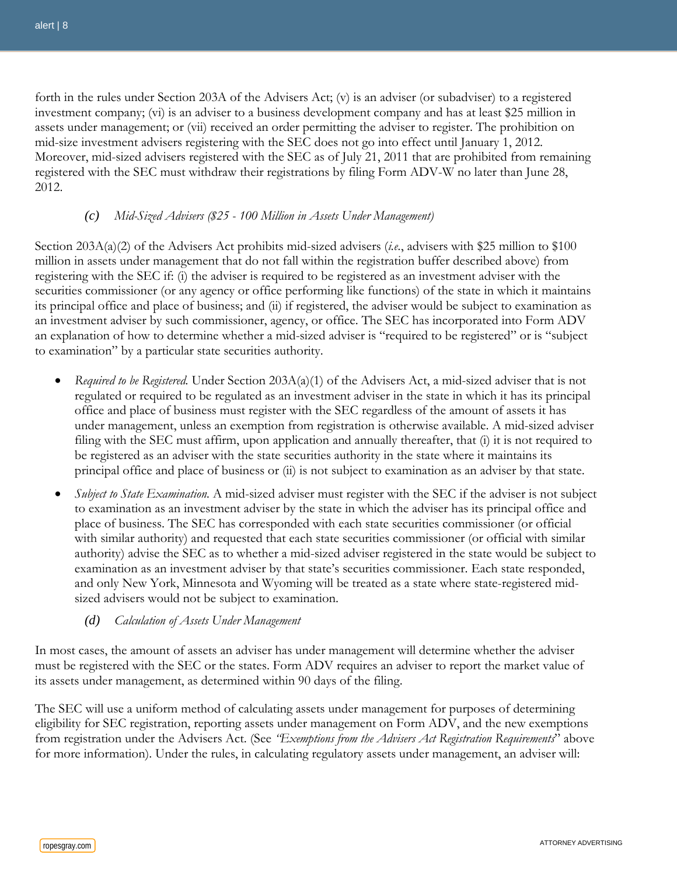forth in the rules under Section 203A of the Advisers Act; (v) is an adviser (or subadviser) to a registered investment company; (vi) is an adviser to a business development company and has at least \$25 million in assets under management; or (vii) received an order permitting the adviser to register. The prohibition on mid-size investment advisers registering with the SEC does not go into effect until January 1, 2012. Moreover, mid-sized advisers registered with the SEC as of July 21, 2011 that are prohibited from remaining registered with the SEC must withdraw their registrations by filing Form ADV-W no later than June 28, 2012.

#### *(c) Mid-Sized Advisers (\$25 - 100 Million in Assets Under Management)*

Section 203A(a)(2) of the Advisers Act prohibits mid-sized advisers (*i.e.*, advisers with \$25 million to \$100 million in assets under management that do not fall within the registration buffer described above) from registering with the SEC if: (i) the adviser is required to be registered as an investment adviser with the securities commissioner (or any agency or office performing like functions) of the state in which it maintains its principal office and place of business; and (ii) if registered, the adviser would be subject to examination as an investment adviser by such commissioner, agency, or office. The SEC has incorporated into Form ADV an explanation of how to determine whether a mid-sized adviser is "required to be registered" or is "subject to examination" by a particular state securities authority.

- *Required to be Registered.* Under Section 203A(a)(1) of the Advisers Act, a mid-sized adviser that is not regulated or required to be regulated as an investment adviser in the state in which it has its principal office and place of business must register with the SEC regardless of the amount of assets it has under management, unless an exemption from registration is otherwise available. A mid-sized adviser filing with the SEC must affirm, upon application and annually thereafter, that (i) it is not required to be registered as an adviser with the state securities authority in the state where it maintains its principal office and place of business or (ii) is not subject to examination as an adviser by that state.
- *Subject to State Examination.* A mid-sized adviser must register with the SEC if the adviser is not subject to examination as an investment adviser by the state in which the adviser has its principal office and place of business. The SEC has corresponded with each state securities commissioner (or official with similar authority) and requested that each state securities commissioner (or official with similar authority) advise the SEC as to whether a mid-sized adviser registered in the state would be subject to examination as an investment adviser by that state's securities commissioner. Each state responded, and only New York, Minnesota and Wyoming will be treated as a state where state-registered midsized advisers would not be subject to examination.

#### *(d) Calculation of Assets Under Management*

In most cases, the amount of assets an adviser has under management will determine whether the adviser must be registered with the SEC or the states. Form ADV requires an adviser to report the market value of its assets under management, as determined within 90 days of the filing.

The SEC will use a uniform method of calculating assets under management for purposes of determining eligibility for SEC registration, reporting assets under management on Form ADV, and the new exemptions from registration under the Advisers Act. (See *"Exemptions from the Advisers Act Registration Requirements*" above for more information). Under the rules, in calculating regulatory assets under management, an adviser will: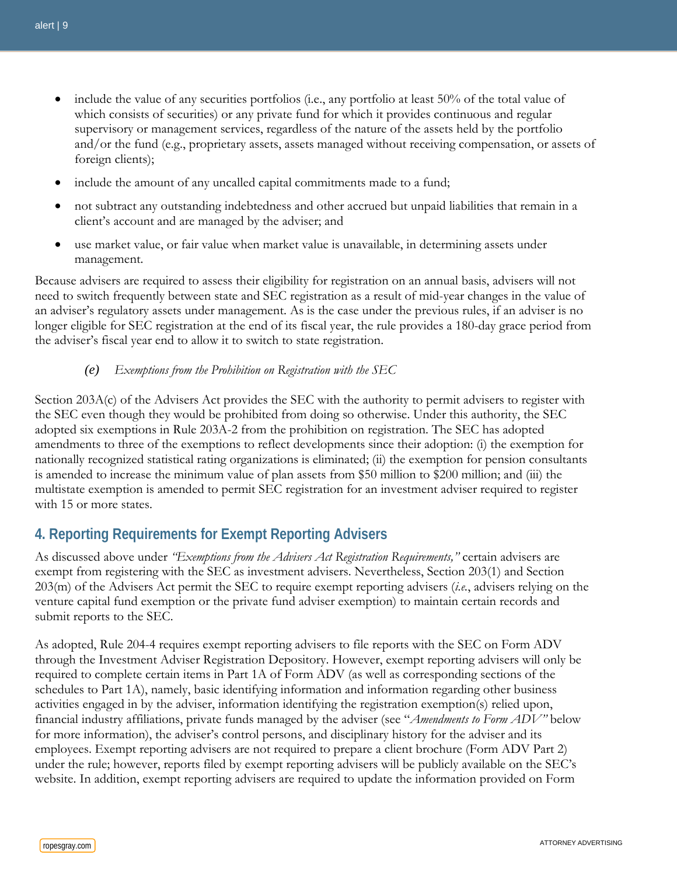- include the value of any securities portfolios (i.e., any portfolio at least 50% of the total value of which consists of securities) or any private fund for which it provides continuous and regular supervisory or management services, regardless of the nature of the assets held by the portfolio and/or the fund (e.g., proprietary assets, assets managed without receiving compensation, or assets of foreign clients);
- include the amount of any uncalled capital commitments made to a fund;
- not subtract any outstanding indebtedness and other accrued but unpaid liabilities that remain in a client's account and are managed by the adviser; and
- use market value, or fair value when market value is unavailable, in determining assets under management.

Because advisers are required to assess their eligibility for registration on an annual basis, advisers will not need to switch frequently between state and SEC registration as a result of mid-year changes in the value of an adviser's regulatory assets under management. As is the case under the previous rules, if an adviser is no longer eligible for SEC registration at the end of its fiscal year, the rule provides a 180-day grace period from the adviser's fiscal year end to allow it to switch to state registration.

*(e) Exemptions from the Prohibition on Registration with the SEC*

Section 203A(c) of the Advisers Act provides the SEC with the authority to permit advisers to register with the SEC even though they would be prohibited from doing so otherwise. Under this authority, the SEC adopted six exemptions in Rule 203A-2 from the prohibition on registration. The SEC has adopted amendments to three of the exemptions to reflect developments since their adoption: (i) the exemption for nationally recognized statistical rating organizations is eliminated; (ii) the exemption for pension consultants is amended to increase the minimum value of plan assets from \$50 million to \$200 million; and (iii) the multistate exemption is amended to permit SEC registration for an investment adviser required to register with 15 or more states.

## **4. Reporting Requirements for Exempt Reporting Advisers**

As discussed above under *"Exemptions from the Advisers Act Registration Requirements,"* certain advisers are exempt from registering with the SEC as investment advisers. Nevertheless, Section 203(1) and Section 203(m) of the Advisers Act permit the SEC to require exempt reporting advisers (*i.e.*, advisers relying on the venture capital fund exemption or the private fund adviser exemption) to maintain certain records and submit reports to the SEC.

As adopted, Rule 204-4 requires exempt reporting advisers to file reports with the SEC on Form ADV through the Investment Adviser Registration Depository. However, exempt reporting advisers will only be required to complete certain items in Part 1A of Form ADV (as well as corresponding sections of the schedules to Part 1A), namely, basic identifying information and information regarding other business activities engaged in by the adviser, information identifying the registration exemption(s) relied upon, financial industry affiliations, private funds managed by the adviser (see "*Amendments to Form ADV"* below for more information), the adviser's control persons, and disciplinary history for the adviser and its employees. Exempt reporting advisers are not required to prepare a client brochure (Form ADV Part 2) under the rule; however, reports filed by exempt reporting advisers will be publicly available on the SEC's website. In addition, exempt reporting advisers are required to update the information provided on Form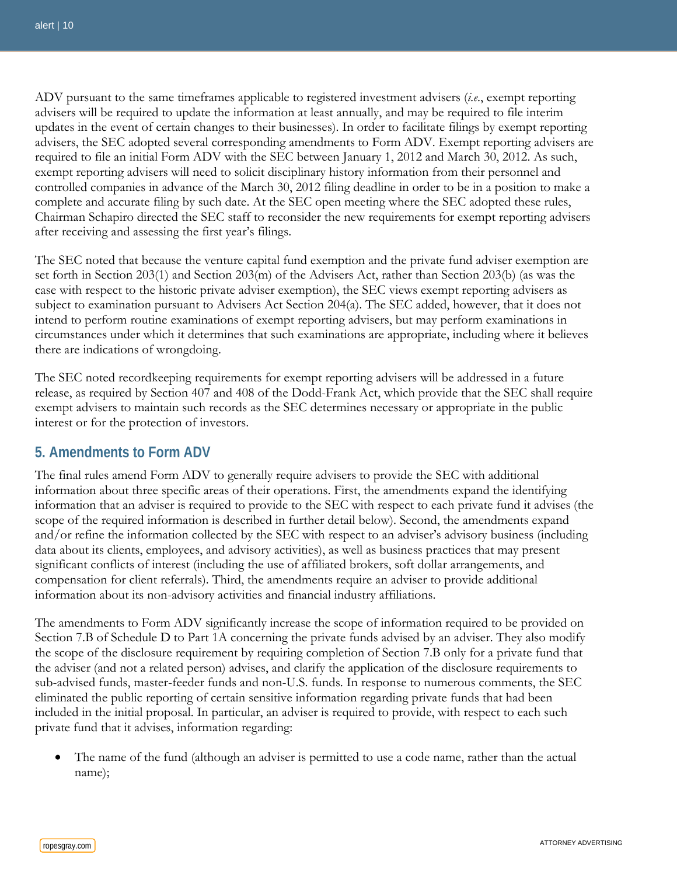ADV pursuant to the same timeframes applicable to registered investment advisers (*i.e*., exempt reporting advisers will be required to update the information at least annually, and may be required to file interim updates in the event of certain changes to their businesses). In order to facilitate filings by exempt reporting advisers, the SEC adopted several corresponding amendments to Form ADV. Exempt reporting advisers are required to file an initial Form ADV with the SEC between January 1, 2012 and March 30, 2012. As such, exempt reporting advisers will need to solicit disciplinary history information from their personnel and controlled companies in advance of the March 30, 2012 filing deadline in order to be in a position to make a complete and accurate filing by such date. At the SEC open meeting where the SEC adopted these rules, Chairman Schapiro directed the SEC staff to reconsider the new requirements for exempt reporting advisers after receiving and assessing the first year's filings.

The SEC noted that because the venture capital fund exemption and the private fund adviser exemption are set forth in Section 203(1) and Section 203(m) of the Advisers Act, rather than Section 203(b) (as was the case with respect to the historic private adviser exemption), the SEC views exempt reporting advisers as subject to examination pursuant to Advisers Act Section 204(a). The SEC added, however, that it does not intend to perform routine examinations of exempt reporting advisers, but may perform examinations in circumstances under which it determines that such examinations are appropriate, including where it believes there are indications of wrongdoing.

The SEC noted recordkeeping requirements for exempt reporting advisers will be addressed in a future release, as required by Section 407 and 408 of the Dodd-Frank Act, which provide that the SEC shall require exempt advisers to maintain such records as the SEC determines necessary or appropriate in the public interest or for the protection of investors.

#### **5. Amendments to Form ADV**

The final rules amend Form ADV to generally require advisers to provide the SEC with additional information about three specific areas of their operations. First, the amendments expand the identifying information that an adviser is required to provide to the SEC with respect to each private fund it advises (the scope of the required information is described in further detail below). Second, the amendments expand and/or refine the information collected by the SEC with respect to an adviser's advisory business (including data about its clients, employees, and advisory activities), as well as business practices that may present significant conflicts of interest (including the use of affiliated brokers, soft dollar arrangements, and compensation for client referrals). Third, the amendments require an adviser to provide additional information about its non-advisory activities and financial industry affiliations.

The amendments to Form ADV significantly increase the scope of information required to be provided on Section 7.B of Schedule D to Part 1A concerning the private funds advised by an adviser. They also modify the scope of the disclosure requirement by requiring completion of Section 7.B only for a private fund that the adviser (and not a related person) advises, and clarify the application of the disclosure requirements to sub-advised funds, master-feeder funds and non-U.S. funds. In response to numerous comments, the SEC eliminated the public reporting of certain sensitive information regarding private funds that had been included in the initial proposal. In particular, an adviser is required to provide, with respect to each such private fund that it advises, information regarding:

• The name of the fund (although an adviser is permitted to use a code name, rather than the actual name);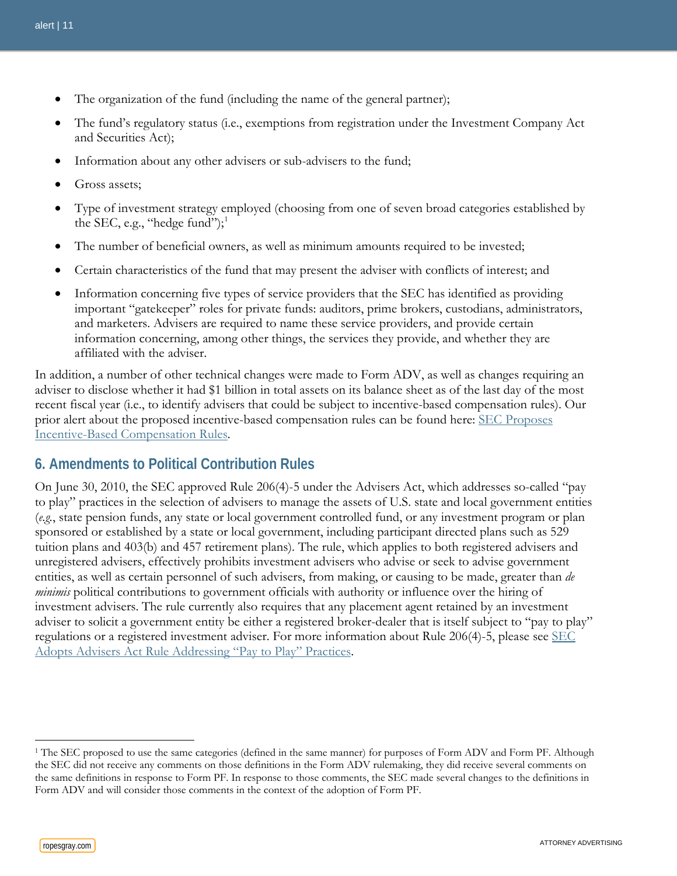- The organization of the fund (including the name of the general partner);
- The fund's regulatory status (i.e., exemptions from registration under the Investment Company Act and Securities Act);
- Information about any other advisers or sub-advisers to the fund;
- Gross assets:
- Type of investment strategy employed (choosing from one of seven broad categories established by the SEC, e.g., "hedge fund"); $^1$  $^1$
- The number of beneficial owners, as well as minimum amounts required to be invested;
- Certain characteristics of the fund that may present the adviser with conflicts of interest; and
- Information concerning five types of service providers that the SEC has identified as providing important "gatekeeper" roles for private funds: auditors, prime brokers, custodians, administrators, and marketers. Advisers are required to name these service providers, and provide certain information concerning, among other things, the services they provide, and whether they are affiliated with the adviser.

In addition, a number of other technical changes were made to Form ADV, as well as changes requiring an adviser to disclose whether it had \$1 billion in total assets on its balance sheet as of the last day of the most recent fiscal year (i.e., to identify advisers that could be subject to incentive-based compensation rules). Our prior alert about the proposed incentive-based compensation rules can be found here: [SEC Proposes](http://www.ropesgray.com/files/Publication/28501e21-44ac-4fad-942c-8f67faed5f77/Presentation/PublicationAttachment/cfd1e22c-c9ea-4463-817f-90ada19430bf/20110315IBCAlert.pdf)  Incentive-[Based Compensation Rules.](http://www.ropesgray.com/files/Publication/28501e21-44ac-4fad-942c-8f67faed5f77/Presentation/PublicationAttachment/cfd1e22c-c9ea-4463-817f-90ada19430bf/20110315IBCAlert.pdf)

## **6. Amendments to Political Contribution Rules**

On June 30, 2010, the SEC approved Rule 206(4)-5 under the Advisers Act, which addresses so-called "pay to play" practices in the selection of advisers to manage the assets of U.S. state and local government entities (*e.g.*, state pension funds, any state or local government controlled fund, or any investment program or plan sponsored or established by a state or local government, including participant directed plans such as 529 tuition plans and 403(b) and 457 retirement plans). The rule, which applies to both registered advisers and unregistered advisers, effectively prohibits investment advisers who advise or seek to advise government entities, as well as certain personnel of such advisers, from making, or causing to be made, greater than *de minimis* political contributions to government officials with authority or influence over the hiring of investment advisers. The rule currently also requires that any placement agent retained by an investment adviser to solicit a government entity be either a registered broker-dealer that is itself subject to "pay to play" regulations or a registered investment adviser. For more information about Rule 206(4)-5, please see [SEC](http://www.ropesgray.com/files/Publication/a589b487-caf1-48df-a511-06faeb6bcece/Presentation/PublicationAttachment/50588170-016c-4a56-ab73-0fd6b3b4297c/SECPaytoPlayAlert.pdf)  [Adopts Advisers Act Rule Addressing "Pay to Play" Practices.](http://www.ropesgray.com/files/Publication/a589b487-caf1-48df-a511-06faeb6bcece/Presentation/PublicationAttachment/50588170-016c-4a56-ab73-0fd6b3b4297c/SECPaytoPlayAlert.pdf)

 $\overline{a}$ 

<span id="page-10-0"></span><sup>1</sup> The SEC proposed to use the same categories (defined in the same manner) for purposes of Form ADV and Form PF. Although the SEC did not receive any comments on those definitions in the Form ADV rulemaking, they did receive several comments on the same definitions in response to Form PF. In response to those comments, the SEC made several changes to the definitions in Form ADV and will consider those comments in the context of the adoption of Form PF.